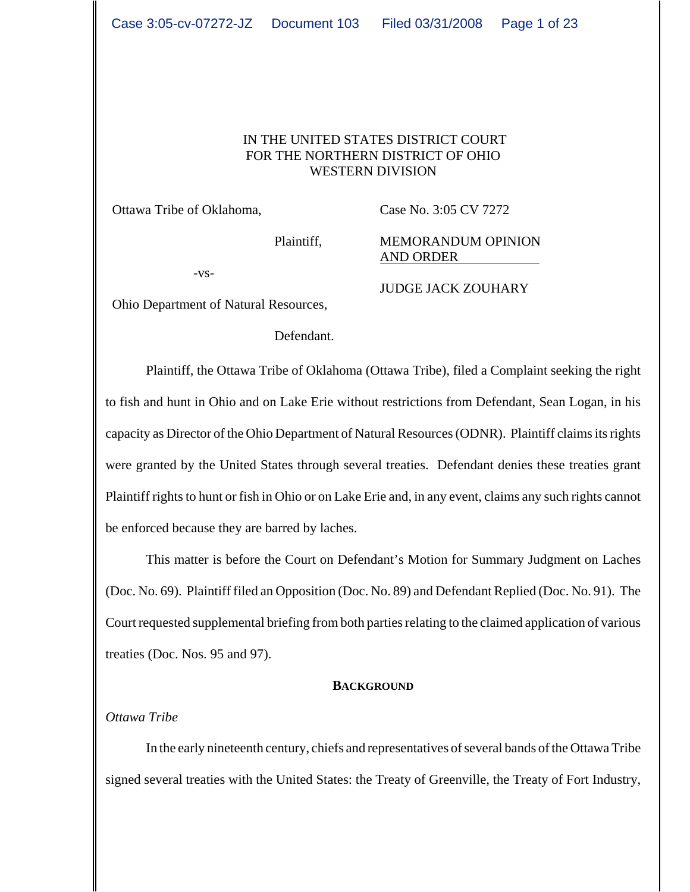#### IN THE UNITED STATES DISTRICT COURT FOR THE NORTHERN DISTRICT OF OHIO WESTERN DIVISION

Ottawa Tribe of Oklahoma,

Case No. 3:05 CV 7272

Plaintiff,

MEMORANDUM OPINION AND ORDER

-vs-

JUDGE JACK ZOUHARY

Ohio Department of Natural Resources,

Defendant.

Plaintiff, the Ottawa Tribe of Oklahoma (Ottawa Tribe), filed a Complaint seeking the right to fish and hunt in Ohio and on Lake Erie without restrictions from Defendant, Sean Logan, in his capacity as Director of the Ohio Department of Natural Resources (ODNR). Plaintiff claims its rights were granted by the United States through several treaties. Defendant denies these treaties grant Plaintiff rights to hunt or fish in Ohio or on Lake Erie and, in any event, claims any such rights cannot be enforced because they are barred by laches.

This matter is before the Court on Defendant's Motion for Summary Judgment on Laches (Doc. No. 69). Plaintiff filed an Opposition (Doc. No. 89) and Defendant Replied (Doc. No. 91). The Court requested supplemental briefing from both parties relating to the claimed application of various treaties (Doc. Nos. 95 and 97).

#### **BACKGROUND**

## *Ottawa Tribe*

In the early nineteenth century, chiefs and representatives of several bands of the Ottawa Tribe signed several treaties with the United States: the Treaty of Greenville, the Treaty of Fort Industry,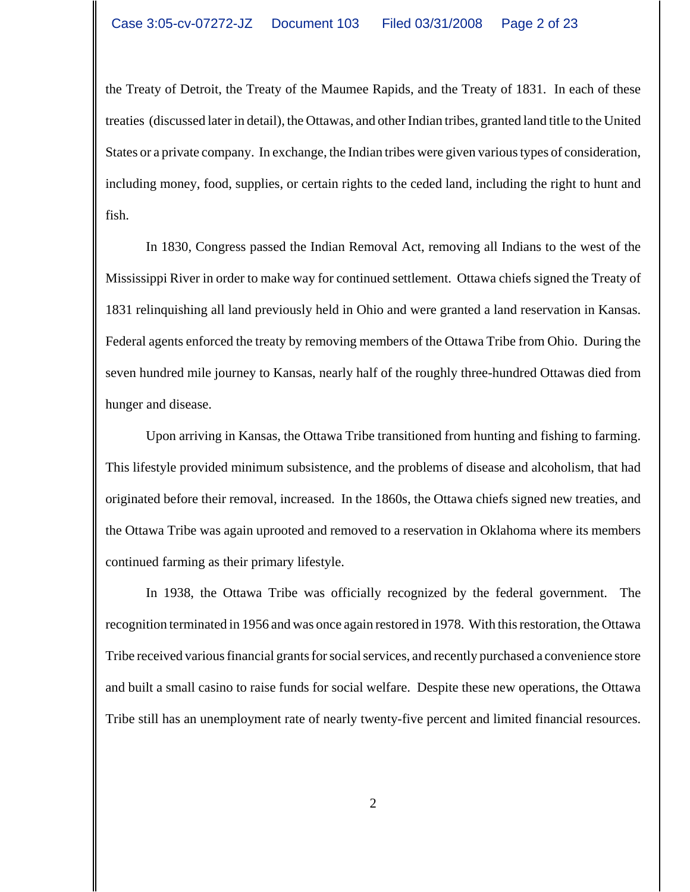the Treaty of Detroit, the Treaty of the Maumee Rapids, and the Treaty of 1831. In each of these treaties (discussed later in detail), the Ottawas, and other Indian tribes, granted land title to the United States or a private company. In exchange, the Indian tribes were given various types of consideration, including money, food, supplies, or certain rights to the ceded land, including the right to hunt and fish.

In 1830, Congress passed the Indian Removal Act, removing all Indians to the west of the Mississippi River in order to make way for continued settlement. Ottawa chiefs signed the Treaty of 1831 relinquishing all land previously held in Ohio and were granted a land reservation in Kansas. Federal agents enforced the treaty by removing members of the Ottawa Tribe from Ohio. During the seven hundred mile journey to Kansas, nearly half of the roughly three-hundred Ottawas died from hunger and disease.

Upon arriving in Kansas, the Ottawa Tribe transitioned from hunting and fishing to farming. This lifestyle provided minimum subsistence, and the problems of disease and alcoholism, that had originated before their removal, increased. In the 1860s, the Ottawa chiefs signed new treaties, and the Ottawa Tribe was again uprooted and removed to a reservation in Oklahoma where its members continued farming as their primary lifestyle.

In 1938, the Ottawa Tribe was officially recognized by the federal government. The recognition terminated in 1956 and was once again restored in 1978. With this restoration, the Ottawa Tribe received various financial grants for social services, and recently purchased a convenience store and built a small casino to raise funds for social welfare. Despite these new operations, the Ottawa Tribe still has an unemployment rate of nearly twenty-five percent and limited financial resources.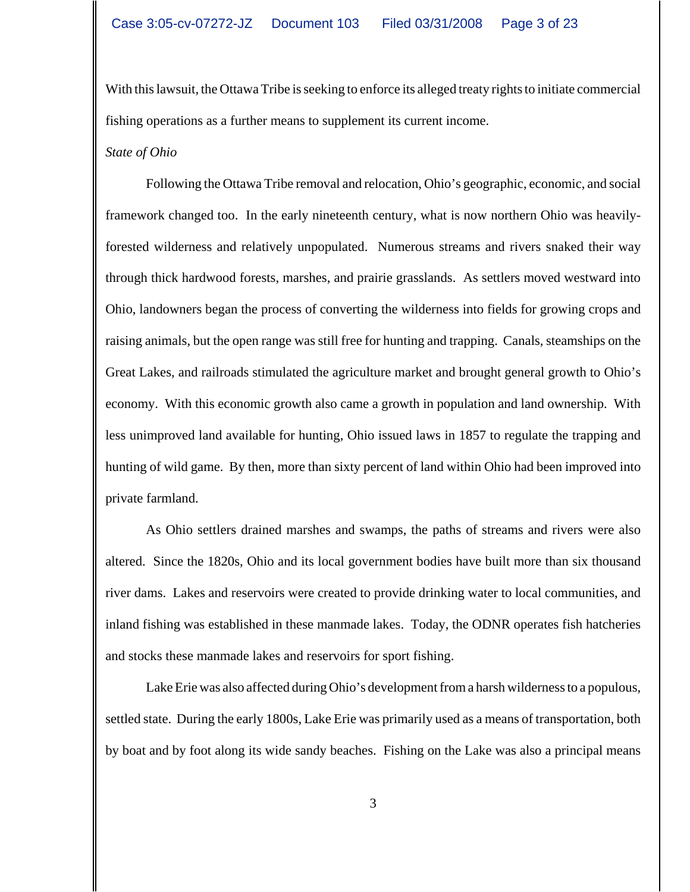With this lawsuit, the Ottawa Tribe is seeking to enforce its alleged treaty rights to initiate commercial fishing operations as a further means to supplement its current income.

#### *State of Ohio*

Following the Ottawa Tribe removal and relocation, Ohio's geographic, economic, and social framework changed too. In the early nineteenth century, what is now northern Ohio was heavilyforested wilderness and relatively unpopulated. Numerous streams and rivers snaked their way through thick hardwood forests, marshes, and prairie grasslands. As settlers moved westward into Ohio, landowners began the process of converting the wilderness into fields for growing crops and raising animals, but the open range was still free for hunting and trapping. Canals, steamships on the Great Lakes, and railroads stimulated the agriculture market and brought general growth to Ohio's economy. With this economic growth also came a growth in population and land ownership. With less unimproved land available for hunting, Ohio issued laws in 1857 to regulate the trapping and hunting of wild game. By then, more than sixty percent of land within Ohio had been improved into private farmland.

As Ohio settlers drained marshes and swamps, the paths of streams and rivers were also altered. Since the 1820s, Ohio and its local government bodies have built more than six thousand river dams. Lakes and reservoirs were created to provide drinking water to local communities, and inland fishing was established in these manmade lakes. Today, the ODNR operates fish hatcheries and stocks these manmade lakes and reservoirs for sport fishing.

Lake Erie was also affected during Ohio's development from a harsh wilderness to a populous, settled state. During the early 1800s, Lake Erie was primarily used as a means of transportation, both by boat and by foot along its wide sandy beaches. Fishing on the Lake was also a principal means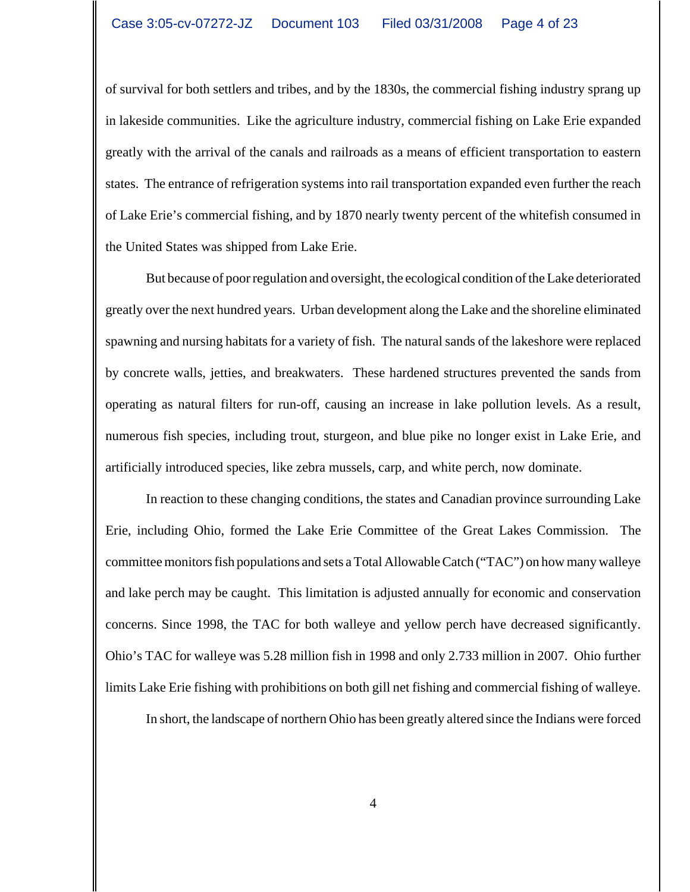of survival for both settlers and tribes, and by the 1830s, the commercial fishing industry sprang up in lakeside communities. Like the agriculture industry, commercial fishing on Lake Erie expanded greatly with the arrival of the canals and railroads as a means of efficient transportation to eastern states. The entrance of refrigeration systems into rail transportation expanded even further the reach of Lake Erie's commercial fishing, and by 1870 nearly twenty percent of the whitefish consumed in the United States was shipped from Lake Erie.

But because of poor regulation and oversight, the ecological condition of the Lake deteriorated greatly over the next hundred years. Urban development along the Lake and the shoreline eliminated spawning and nursing habitats for a variety of fish. The natural sands of the lakeshore were replaced by concrete walls, jetties, and breakwaters. These hardened structures prevented the sands from operating as natural filters for run-off, causing an increase in lake pollution levels. As a result, numerous fish species, including trout, sturgeon, and blue pike no longer exist in Lake Erie, and artificially introduced species, like zebra mussels, carp, and white perch, now dominate.

In reaction to these changing conditions, the states and Canadian province surrounding Lake Erie, including Ohio, formed the Lake Erie Committee of the Great Lakes Commission. The committee monitors fish populations and sets a Total Allowable Catch ("TAC") on how many walleye and lake perch may be caught. This limitation is adjusted annually for economic and conservation concerns. Since 1998, the TAC for both walleye and yellow perch have decreased significantly. Ohio's TAC for walleye was 5.28 million fish in 1998 and only 2.733 million in 2007. Ohio further limits Lake Erie fishing with prohibitions on both gill net fishing and commercial fishing of walleye.

In short, the landscape of northern Ohio has been greatly altered since the Indians were forced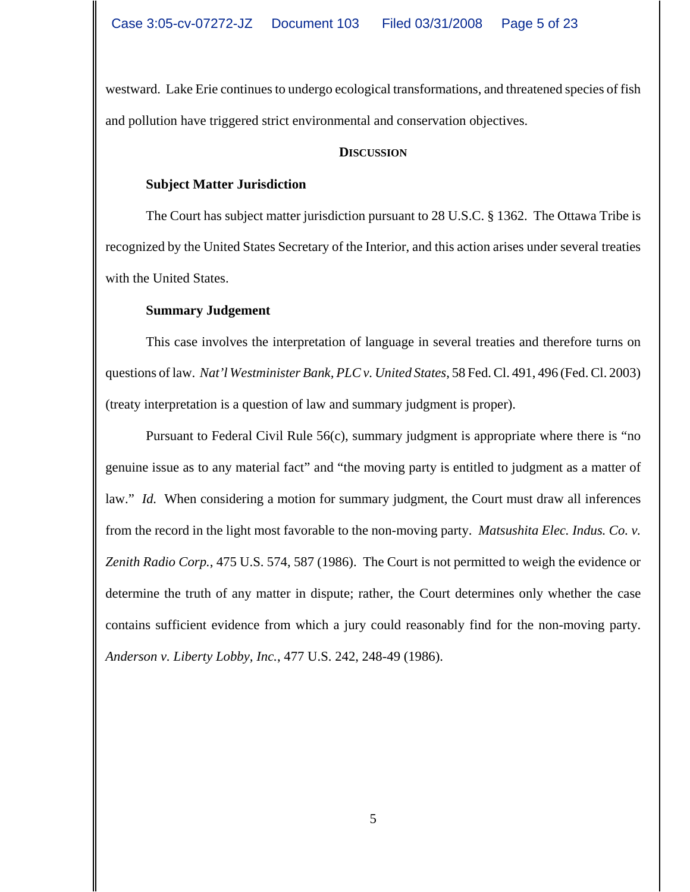westward. Lake Erie continues to undergo ecological transformations, and threatened species of fish and pollution have triggered strict environmental and conservation objectives.

#### **DISCUSSION**

### **Subject Matter Jurisdiction**

The Court has subject matter jurisdiction pursuant to 28 U.S.C. § 1362. The Ottawa Tribe is recognized by the United States Secretary of the Interior, and this action arises under several treaties with the United States.

## **Summary Judgement**

This case involves the interpretation of language in several treaties and therefore turns on questions of law. *Nat'l Westminister Bank, PLC v. United States*, 58 Fed. Cl. 491, 496 (Fed. Cl. 2003) (treaty interpretation is a question of law and summary judgment is proper).

Pursuant to Federal Civil Rule 56(c), summary judgment is appropriate where there is "no genuine issue as to any material fact" and "the moving party is entitled to judgment as a matter of law." *Id.* When considering a motion for summary judgment, the Court must draw all inferences from the record in the light most favorable to the non-moving party. *Matsushita Elec. Indus. Co. v. Zenith Radio Corp.*, 475 U.S. 574, 587 (1986). The Court is not permitted to weigh the evidence or determine the truth of any matter in dispute; rather, the Court determines only whether the case contains sufficient evidence from which a jury could reasonably find for the non-moving party. *Anderson v. Liberty Lobby, Inc.*, 477 U.S. 242, 248-49 (1986).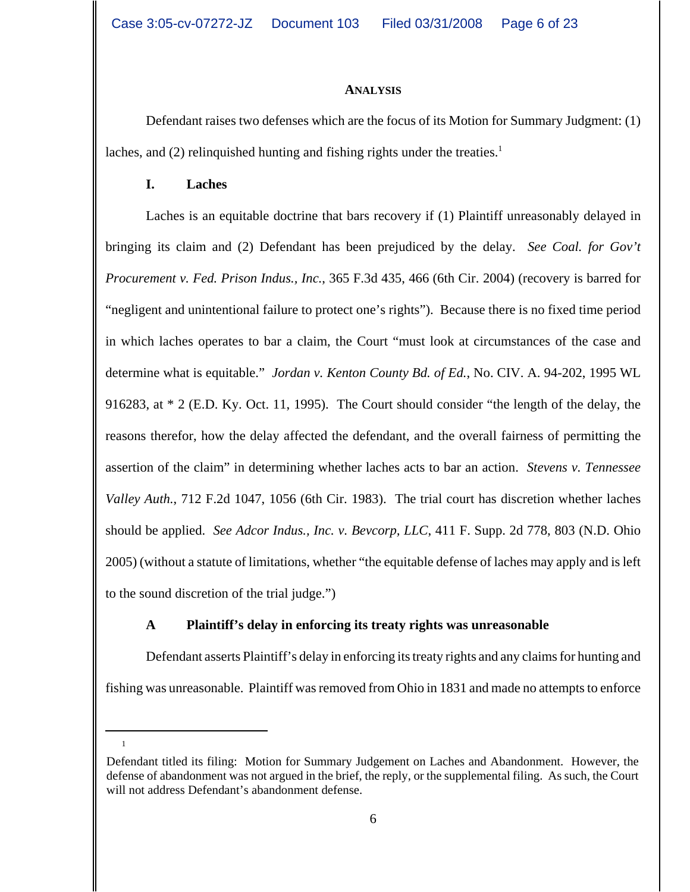#### **ANALYSIS**

Defendant raises two defenses which are the focus of its Motion for Summary Judgment: (1) laches, and (2) relinquished hunting and fishing rights under the treaties.<sup>1</sup>

### **I. Laches**

Laches is an equitable doctrine that bars recovery if (1) Plaintiff unreasonably delayed in bringing its claim and (2) Defendant has been prejudiced by the delay. *See Coal. for Gov't Procurement v. Fed. Prison Indus., Inc.*, 365 F.3d 435, 466 (6th Cir. 2004) (recovery is barred for "negligent and unintentional failure to protect one's rights"). Because there is no fixed time period in which laches operates to bar a claim, the Court "must look at circumstances of the case and determine what is equitable." *Jordan v. Kenton County Bd. of Ed.*, No. CIV. A. 94-202, 1995 WL 916283, at \* 2 (E.D. Ky. Oct. 11, 1995). The Court should consider "the length of the delay, the reasons therefor, how the delay affected the defendant, and the overall fairness of permitting the assertion of the claim" in determining whether laches acts to bar an action. *Stevens v. Tennessee Valley Auth.*, 712 F.2d 1047, 1056 (6th Cir. 1983). The trial court has discretion whether laches should be applied. *See Adcor Indus., Inc. v. Bevcorp, LLC*, 411 F. Supp. 2d 778, 803 (N.D. Ohio 2005) (without a statute of limitations, whether "the equitable defense of laches may apply and is left to the sound discretion of the trial judge.")

## **A Plaintiff's delay in enforcing its treaty rights was unreasonable**

Defendant asserts Plaintiff's delay in enforcing its treaty rights and any claims for hunting and fishing was unreasonable. Plaintiff was removed from Ohio in 1831 and made no attempts to enforce

Defendant titled its filing: Motion for Summary Judgement on Laches and Abandonment. However, the defense of abandonment was not argued in the brief, the reply, or the supplemental filing. As such, the Court will not address Defendant's abandonment defense.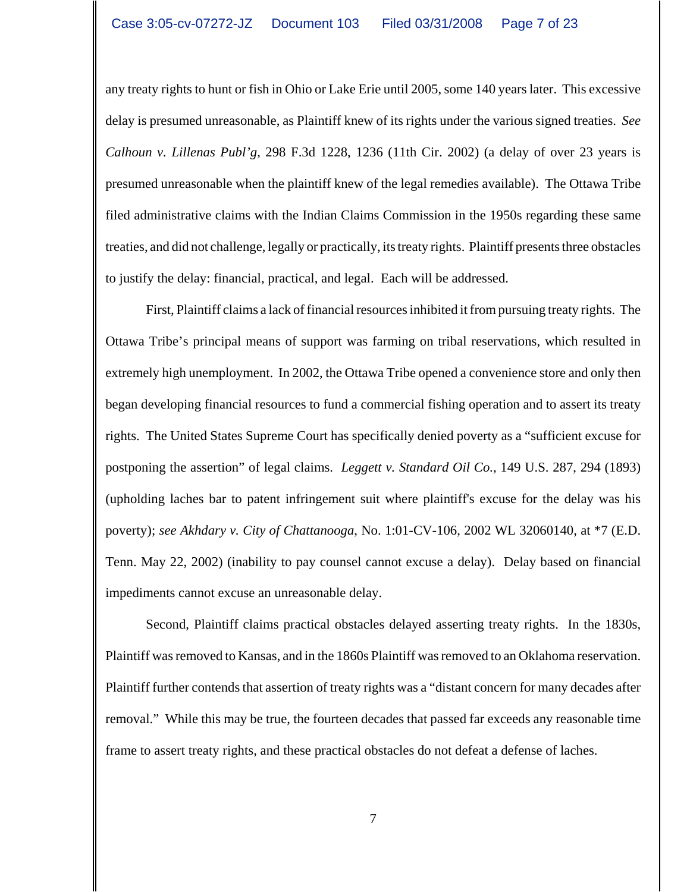any treaty rights to hunt or fish in Ohio or Lake Erie until 2005, some 140 years later. This excessive delay is presumed unreasonable, as Plaintiff knew of its rights under the various signed treaties. *See Calhoun v. Lillenas Publ'g*, 298 F.3d 1228, 1236 (11th Cir. 2002) (a delay of over 23 years is presumed unreasonable when the plaintiff knew of the legal remedies available). The Ottawa Tribe filed administrative claims with the Indian Claims Commission in the 1950s regarding these same treaties, and did not challenge, legally or practically, its treaty rights. Plaintiff presents three obstacles to justify the delay: financial, practical, and legal. Each will be addressed.

First, Plaintiff claims a lack of financial resources inhibited it from pursuing treaty rights. The Ottawa Tribe's principal means of support was farming on tribal reservations, which resulted in extremely high unemployment. In 2002, the Ottawa Tribe opened a convenience store and only then began developing financial resources to fund a commercial fishing operation and to assert its treaty rights. The United States Supreme Court has specifically denied poverty as a "sufficient excuse for postponing the assertion" of legal claims. *Leggett v. Standard Oil Co.*, 149 U.S. 287, 294 (1893) (upholding laches bar to patent infringement suit where plaintiff's excuse for the delay was his poverty); *see Akhdary v. City of Chattanooga*, No. 1:01-CV-106, 2002 WL 32060140, at \*7 (E.D. Tenn. May 22, 2002) (inability to pay counsel cannot excuse a delay). Delay based on financial impediments cannot excuse an unreasonable delay.

Second, Plaintiff claims practical obstacles delayed asserting treaty rights. In the 1830s, Plaintiff was removed to Kansas, and in the 1860s Plaintiff was removed to an Oklahoma reservation. Plaintiff further contends that assertion of treaty rights was a "distant concern for many decades after removal." While this may be true, the fourteen decades that passed far exceeds any reasonable time frame to assert treaty rights, and these practical obstacles do not defeat a defense of laches.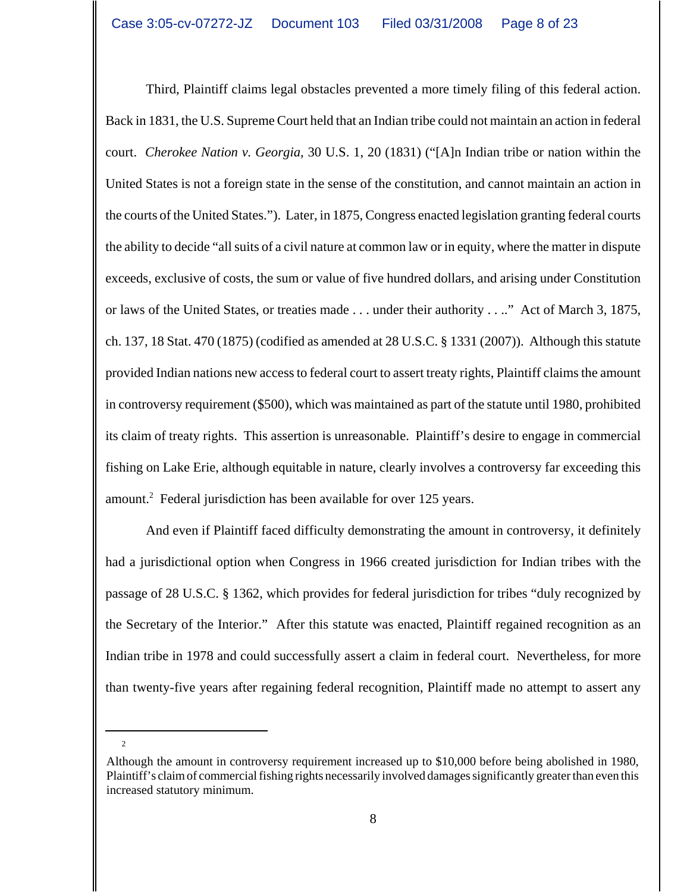Third, Plaintiff claims legal obstacles prevented a more timely filing of this federal action. Back in 1831, the U.S. Supreme Court held that an Indian tribe could not maintain an action in federal court. *Cherokee Nation v. Georgia*, 30 U.S. 1, 20 (1831) ("[A]n Indian tribe or nation within the United States is not a foreign state in the sense of the constitution, and cannot maintain an action in the courts of the United States."). Later, in 1875, Congress enacted legislation granting federal courts the ability to decide "all suits of a civil nature at common law or in equity, where the matter in dispute exceeds, exclusive of costs, the sum or value of five hundred dollars, and arising under Constitution or laws of the United States, or treaties made . . . under their authority . . .." Act of March 3, 1875, ch. 137, 18 Stat. 470 (1875) (codified as amended at 28 U.S.C. § 1331 (2007)). Although this statute provided Indian nations new access to federal court to assert treaty rights, Plaintiff claims the amount in controversy requirement (\$500), which was maintained as part of the statute until 1980, prohibited its claim of treaty rights. This assertion is unreasonable. Plaintiff's desire to engage in commercial fishing on Lake Erie, although equitable in nature, clearly involves a controversy far exceeding this amount.<sup>2</sup> Federal jurisdiction has been available for over 125 years.

And even if Plaintiff faced difficulty demonstrating the amount in controversy, it definitely had a jurisdictional option when Congress in 1966 created jurisdiction for Indian tribes with the passage of 28 U.S.C. § 1362, which provides for federal jurisdiction for tribes "duly recognized by the Secretary of the Interior." After this statute was enacted, Plaintiff regained recognition as an Indian tribe in 1978 and could successfully assert a claim in federal court. Nevertheless, for more than twenty-five years after regaining federal recognition, Plaintiff made no attempt to assert any

Although the amount in controversy requirement increased up to \$10,000 before being abolished in 1980, Plaintiff's claim of commercial fishing rights necessarily involved damages significantly greater than even this increased statutory minimum.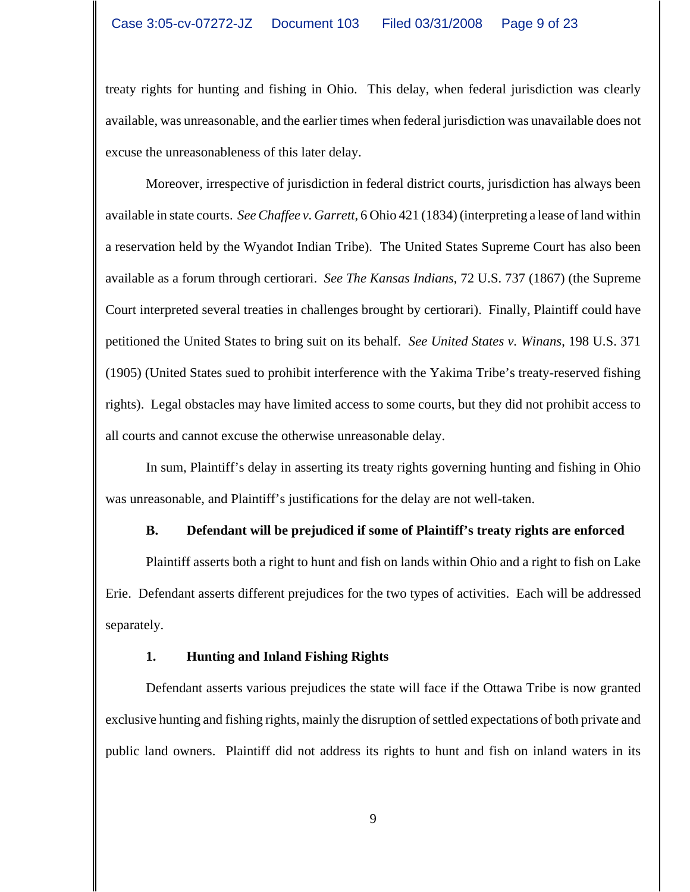treaty rights for hunting and fishing in Ohio. This delay, when federal jurisdiction was clearly available, was unreasonable, and the earlier times when federal jurisdiction was unavailable does not excuse the unreasonableness of this later delay.

Moreover, irrespective of jurisdiction in federal district courts, jurisdiction has always been available in state courts. *See Chaffee v. Garrett*, 6 Ohio 421 (1834) (interpreting a lease of land within a reservation held by the Wyandot Indian Tribe). The United States Supreme Court has also been available as a forum through certiorari. *See The Kansas Indians*, 72 U.S. 737 (1867) (the Supreme Court interpreted several treaties in challenges brought by certiorari). Finally, Plaintiff could have petitioned the United States to bring suit on its behalf. *See United States v. Winans*, 198 U.S. 371 (1905) (United States sued to prohibit interference with the Yakima Tribe's treaty-reserved fishing rights). Legal obstacles may have limited access to some courts, but they did not prohibit access to all courts and cannot excuse the otherwise unreasonable delay.

In sum, Plaintiff's delay in asserting its treaty rights governing hunting and fishing in Ohio was unreasonable, and Plaintiff's justifications for the delay are not well-taken.

## **B. Defendant will be prejudiced if some of Plaintiff's treaty rights are enforced**

Plaintiff asserts both a right to hunt and fish on lands within Ohio and a right to fish on Lake Erie. Defendant asserts different prejudices for the two types of activities. Each will be addressed separately.

## **1. Hunting and Inland Fishing Rights**

Defendant asserts various prejudices the state will face if the Ottawa Tribe is now granted exclusive hunting and fishing rights, mainly the disruption of settled expectations of both private and public land owners. Plaintiff did not address its rights to hunt and fish on inland waters in its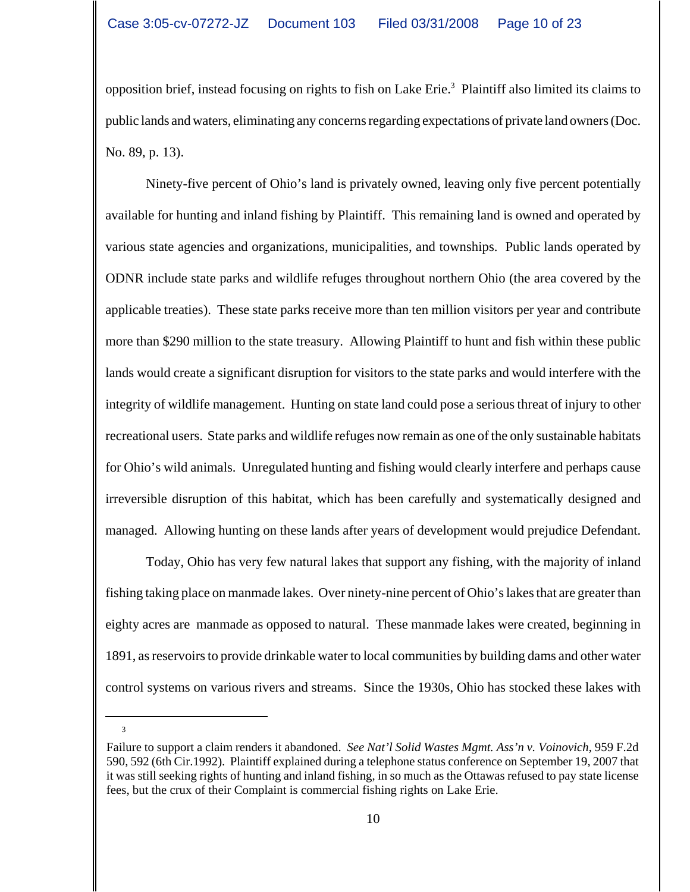opposition brief, instead focusing on rights to fish on Lake Erie.<sup>3</sup> Plaintiff also limited its claims to public lands and waters, eliminating any concerns regarding expectations of private land owners (Doc. No. 89, p. 13).

Ninety-five percent of Ohio's land is privately owned, leaving only five percent potentially available for hunting and inland fishing by Plaintiff. This remaining land is owned and operated by various state agencies and organizations, municipalities, and townships. Public lands operated by ODNR include state parks and wildlife refuges throughout northern Ohio (the area covered by the applicable treaties). These state parks receive more than ten million visitors per year and contribute more than \$290 million to the state treasury. Allowing Plaintiff to hunt and fish within these public lands would create a significant disruption for visitors to the state parks and would interfere with the integrity of wildlife management. Hunting on state land could pose a serious threat of injury to other recreational users. State parks and wildlife refuges now remain as one of the only sustainable habitats for Ohio's wild animals. Unregulated hunting and fishing would clearly interfere and perhaps cause irreversible disruption of this habitat, which has been carefully and systematically designed and managed. Allowing hunting on these lands after years of development would prejudice Defendant.

Today, Ohio has very few natural lakes that support any fishing, with the majority of inland fishing taking place on manmade lakes. Over ninety-nine percent of Ohio's lakes that are greater than eighty acres are manmade as opposed to natural. These manmade lakes were created, beginning in 1891, as reservoirs to provide drinkable water to local communities by building dams and other water control systems on various rivers and streams. Since the 1930s, Ohio has stocked these lakes with

Failure to support a claim renders it abandoned. *See Nat'l Solid Wastes Mgmt. Ass'n v. Voinovich*, 959 F.2d 590, 592 (6th Cir.1992). Plaintiff explained during a telephone status conference on September 19, 2007 that it was still seeking rights of hunting and inland fishing, in so much as the Ottawas refused to pay state license fees, but the crux of their Complaint is commercial fishing rights on Lake Erie.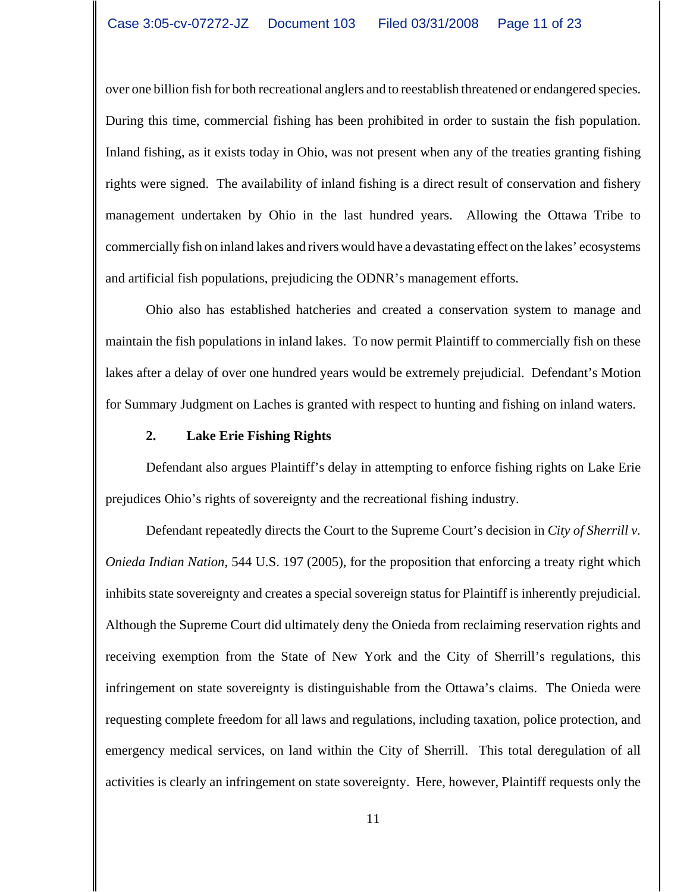over one billion fish for both recreational anglers and to reestablish threatened or endangered species. During this time, commercial fishing has been prohibited in order to sustain the fish population. Inland fishing, as it exists today in Ohio, was not present when any of the treaties granting fishing rights were signed. The availability of inland fishing is a direct result of conservation and fishery management undertaken by Ohio in the last hundred years. Allowing the Ottawa Tribe to commercially fish on inland lakes and rivers would have a devastating effect on the lakes' ecosystems and artificial fish populations, prejudicing the ODNR's management efforts.

Ohio also has established hatcheries and created a conservation system to manage and maintain the fish populations in inland lakes. To now permit Plaintiff to commercially fish on these lakes after a delay of over one hundred years would be extremely prejudicial. Defendant's Motion for Summary Judgment on Laches is granted with respect to hunting and fishing on inland waters.

### **2. Lake Erie Fishing Rights**

Defendant also argues Plaintiff's delay in attempting to enforce fishing rights on Lake Erie prejudices Ohio's rights of sovereignty and the recreational fishing industry.

Defendant repeatedly directs the Court to the Supreme Court's decision in *City of Sherrill v. Onieda Indian Nation*, 544 U.S. 197 (2005), for the proposition that enforcing a treaty right which inhibits state sovereignty and creates a special sovereign status for Plaintiff is inherently prejudicial. Although the Supreme Court did ultimately deny the Onieda from reclaiming reservation rights and receiving exemption from the State of New York and the City of Sherrill's regulations, this infringement on state sovereignty is distinguishable from the Ottawa's claims. The Onieda were requesting complete freedom for all laws and regulations, including taxation, police protection, and emergency medical services, on land within the City of Sherrill. This total deregulation of all activities is clearly an infringement on state sovereignty. Here, however, Plaintiff requests only the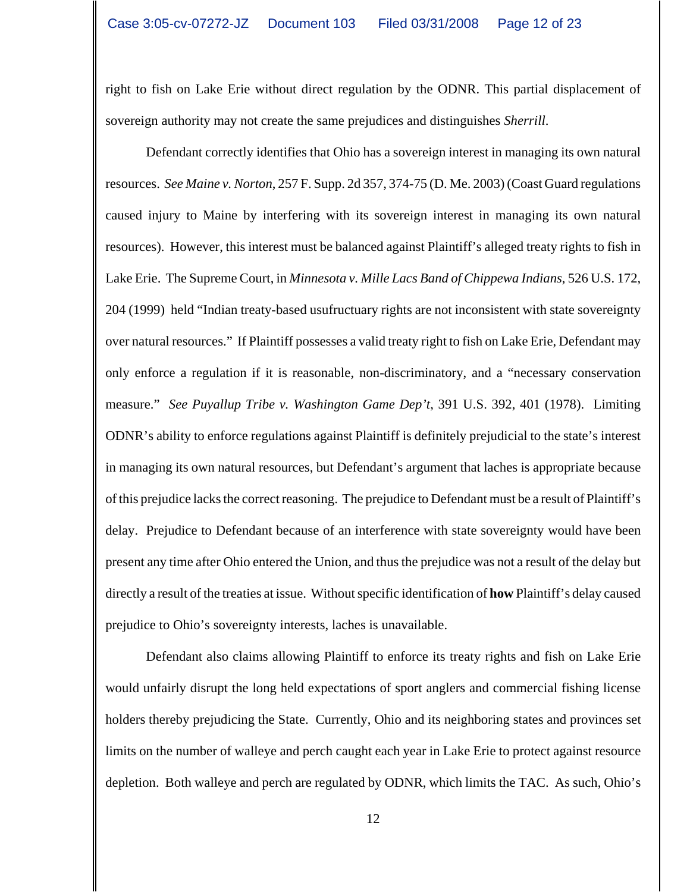right to fish on Lake Erie without direct regulation by the ODNR. This partial displacement of sovereign authority may not create the same prejudices and distinguishes *Sherrill*.

Defendant correctly identifies that Ohio has a sovereign interest in managing its own natural resources. *See Maine v. Norton*, 257 F. Supp. 2d 357, 374-75 (D. Me. 2003) (Coast Guard regulations caused injury to Maine by interfering with its sovereign interest in managing its own natural resources). However, this interest must be balanced against Plaintiff's alleged treaty rights to fish in Lake Erie. The Supreme Court, in *Minnesota v. Mille Lacs Band of Chippewa Indians*, 526 U.S. 172, 204 (1999) held "Indian treaty-based usufructuary rights are not inconsistent with state sovereignty over natural resources." If Plaintiff possesses a valid treaty right to fish on Lake Erie, Defendant may only enforce a regulation if it is reasonable, non-discriminatory, and a "necessary conservation measure." *See Puyallup Tribe v. Washington Game Dep't*, 391 U.S. 392, 401 (1978). Limiting ODNR's ability to enforce regulations against Plaintiff is definitely prejudicial to the state's interest in managing its own natural resources, but Defendant's argument that laches is appropriate because of this prejudice lacks the correct reasoning. The prejudice to Defendant must be a result of Plaintiff's delay. Prejudice to Defendant because of an interference with state sovereignty would have been present any time after Ohio entered the Union, and thus the prejudice was not a result of the delay but directly a result of the treaties at issue. Without specific identification of **how** Plaintiff's delay caused prejudice to Ohio's sovereignty interests, laches is unavailable.

Defendant also claims allowing Plaintiff to enforce its treaty rights and fish on Lake Erie would unfairly disrupt the long held expectations of sport anglers and commercial fishing license holders thereby prejudicing the State. Currently, Ohio and its neighboring states and provinces set limits on the number of walleye and perch caught each year in Lake Erie to protect against resource depletion. Both walleye and perch are regulated by ODNR, which limits the TAC. As such, Ohio's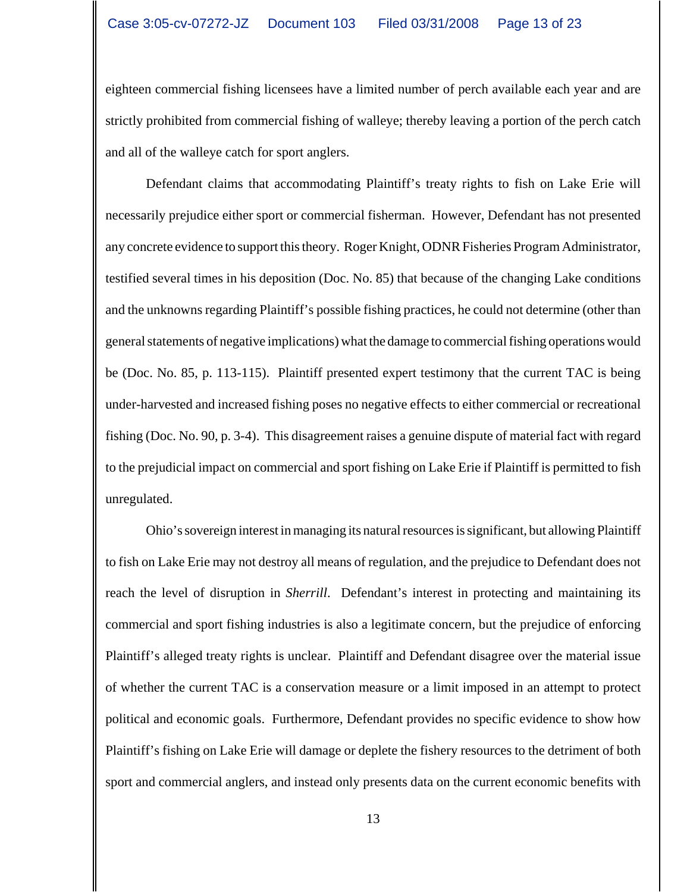eighteen commercial fishing licensees have a limited number of perch available each year and are strictly prohibited from commercial fishing of walleye; thereby leaving a portion of the perch catch and all of the walleye catch for sport anglers.

Defendant claims that accommodating Plaintiff's treaty rights to fish on Lake Erie will necessarily prejudice either sport or commercial fisherman. However, Defendant has not presented any concrete evidence to support this theory. Roger Knight, ODNR Fisheries Program Administrator, testified several times in his deposition (Doc. No. 85) that because of the changing Lake conditions and the unknowns regarding Plaintiff's possible fishing practices, he could not determine (other than general statements of negative implications) what the damage to commercial fishing operations would be (Doc. No. 85, p. 113-115). Plaintiff presented expert testimony that the current TAC is being under-harvested and increased fishing poses no negative effects to either commercial or recreational fishing (Doc. No. 90, p. 3-4). This disagreement raises a genuine dispute of material fact with regard to the prejudicial impact on commercial and sport fishing on Lake Erie if Plaintiff is permitted to fish unregulated.

Ohio's sovereign interest in managing its natural resources is significant, but allowing Plaintiff to fish on Lake Erie may not destroy all means of regulation, and the prejudice to Defendant does not reach the level of disruption in *Sherrill*. Defendant's interest in protecting and maintaining its commercial and sport fishing industries is also a legitimate concern, but the prejudice of enforcing Plaintiff's alleged treaty rights is unclear. Plaintiff and Defendant disagree over the material issue of whether the current TAC is a conservation measure or a limit imposed in an attempt to protect political and economic goals. Furthermore, Defendant provides no specific evidence to show how Plaintiff's fishing on Lake Erie will damage or deplete the fishery resources to the detriment of both sport and commercial anglers, and instead only presents data on the current economic benefits with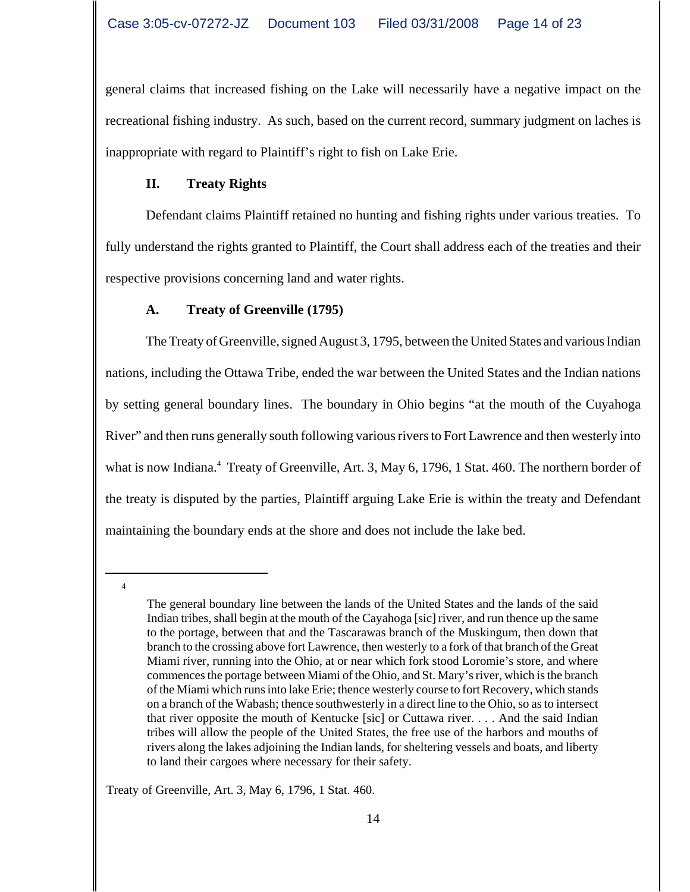general claims that increased fishing on the Lake will necessarily have a negative impact on the recreational fishing industry. As such, based on the current record, summary judgment on laches is inappropriate with regard to Plaintiff's right to fish on Lake Erie.

# **II. Treaty Rights**

Defendant claims Plaintiff retained no hunting and fishing rights under various treaties. To fully understand the rights granted to Plaintiff, the Court shall address each of the treaties and their respective provisions concerning land and water rights.

# **A. Treaty of Greenville (1795)**

The Treaty of Greenville, signed August 3, 1795, between the United States and various Indian nations, including the Ottawa Tribe, ended the war between the United States and the Indian nations by setting general boundary lines. The boundary in Ohio begins "at the mouth of the Cuyahoga River" and then runs generally south following various rivers to Fort Lawrence and then westerly into what is now Indiana.<sup>4</sup> Treaty of Greenville, Art. 3, May 6, 1796, 1 Stat. 460. The northern border of the treaty is disputed by the parties, Plaintiff arguing Lake Erie is within the treaty and Defendant maintaining the boundary ends at the shore and does not include the lake bed.

4

Treaty of Greenville, Art. 3, May 6, 1796, 1 Stat. 460.

The general boundary line between the lands of the United States and the lands of the said Indian tribes, shall begin at the mouth of the Cayahoga [sic] river, and run thence up the same to the portage, between that and the Tascarawas branch of the Muskingum, then down that branch to the crossing above fort Lawrence, then westerly to a fork of that branch of the Great Miami river, running into the Ohio, at or near which fork stood Loromie's store, and where commences the portage between Miami of the Ohio, and St. Mary's river, which is the branch of the Miami which runs into lake Erie; thence westerly course to fort Recovery, which stands on a branch of the Wabash; thence southwesterly in a direct line to the Ohio, so as to intersect that river opposite the mouth of Kentucke [sic] or Cuttawa river. . . . And the said Indian tribes will allow the people of the United States, the free use of the harbors and mouths of rivers along the lakes adjoining the Indian lands, for sheltering vessels and boats, and liberty to land their cargoes where necessary for their safety.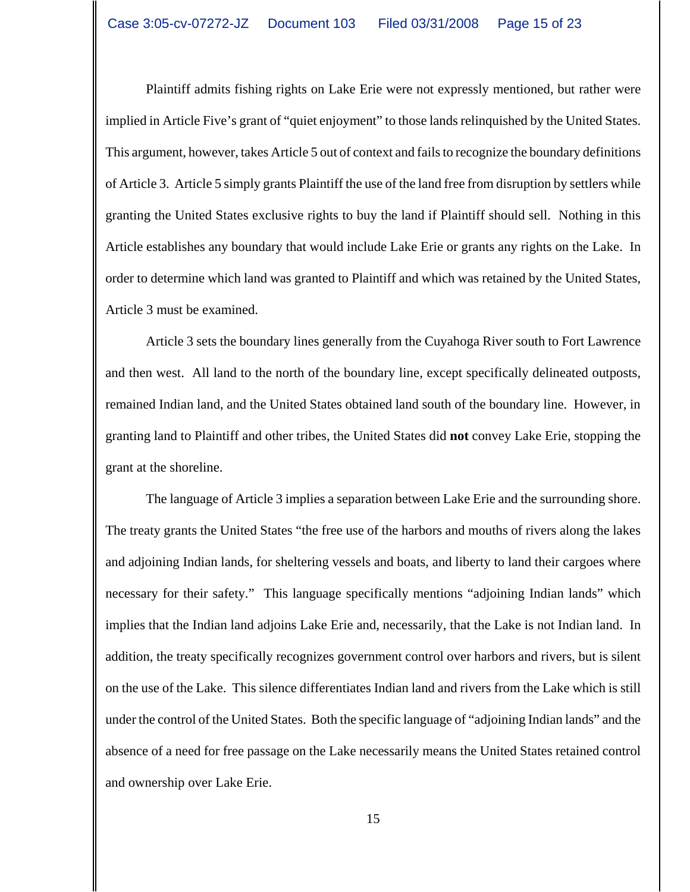Plaintiff admits fishing rights on Lake Erie were not expressly mentioned, but rather were implied in Article Five's grant of "quiet enjoyment" to those lands relinquished by the United States. This argument, however, takes Article 5 out of context and fails to recognize the boundary definitions of Article 3. Article 5 simply grants Plaintiff the use of the land free from disruption by settlers while granting the United States exclusive rights to buy the land if Plaintiff should sell. Nothing in this Article establishes any boundary that would include Lake Erie or grants any rights on the Lake. In order to determine which land was granted to Plaintiff and which was retained by the United States, Article 3 must be examined.

Article 3 sets the boundary lines generally from the Cuyahoga River south to Fort Lawrence and then west. All land to the north of the boundary line, except specifically delineated outposts, remained Indian land, and the United States obtained land south of the boundary line. However, in granting land to Plaintiff and other tribes, the United States did **not** convey Lake Erie, stopping the grant at the shoreline.

The language of Article 3 implies a separation between Lake Erie and the surrounding shore. The treaty grants the United States "the free use of the harbors and mouths of rivers along the lakes and adjoining Indian lands, for sheltering vessels and boats, and liberty to land their cargoes where necessary for their safety." This language specifically mentions "adjoining Indian lands" which implies that the Indian land adjoins Lake Erie and, necessarily, that the Lake is not Indian land. In addition, the treaty specifically recognizes government control over harbors and rivers, but is silent on the use of the Lake. This silence differentiates Indian land and rivers from the Lake which is still under the control of the United States. Both the specific language of "adjoining Indian lands" and the absence of a need for free passage on the Lake necessarily means the United States retained control and ownership over Lake Erie.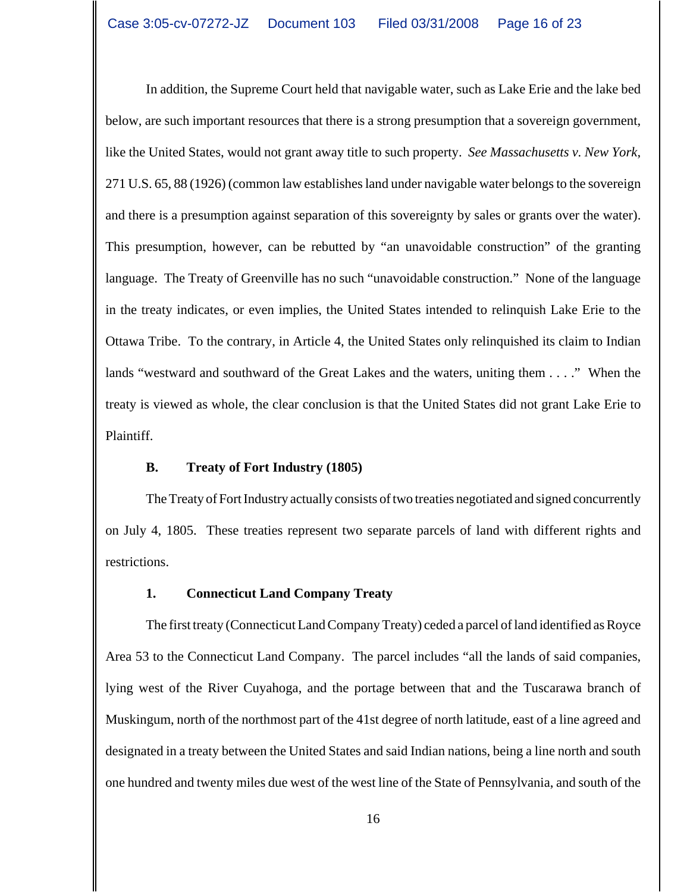In addition, the Supreme Court held that navigable water, such as Lake Erie and the lake bed below, are such important resources that there is a strong presumption that a sovereign government, like the United States, would not grant away title to such property. *See Massachusetts v. New York*, 271 U.S. 65, 88 (1926) (common law establishes land under navigable water belongs to the sovereign and there is a presumption against separation of this sovereignty by sales or grants over the water). This presumption, however, can be rebutted by "an unavoidable construction" of the granting language. The Treaty of Greenville has no such "unavoidable construction." None of the language in the treaty indicates, or even implies, the United States intended to relinquish Lake Erie to the Ottawa Tribe. To the contrary, in Article 4, the United States only relinquished its claim to Indian lands "westward and southward of the Great Lakes and the waters, uniting them . . . ." When the treaty is viewed as whole, the clear conclusion is that the United States did not grant Lake Erie to Plaintiff.

## **B. Treaty of Fort Industry (1805)**

The Treaty of Fort Industry actually consists of two treaties negotiated and signed concurrently on July 4, 1805. These treaties represent two separate parcels of land with different rights and restrictions.

## **1. Connecticut Land Company Treaty**

The first treaty (Connecticut Land Company Treaty) ceded a parcel of land identified as Royce Area 53 to the Connecticut Land Company. The parcel includes "all the lands of said companies, lying west of the River Cuyahoga, and the portage between that and the Tuscarawa branch of Muskingum, north of the northmost part of the 41st degree of north latitude, east of a line agreed and designated in a treaty between the United States and said Indian nations, being a line north and south one hundred and twenty miles due west of the west line of the State of Pennsylvania, and south of the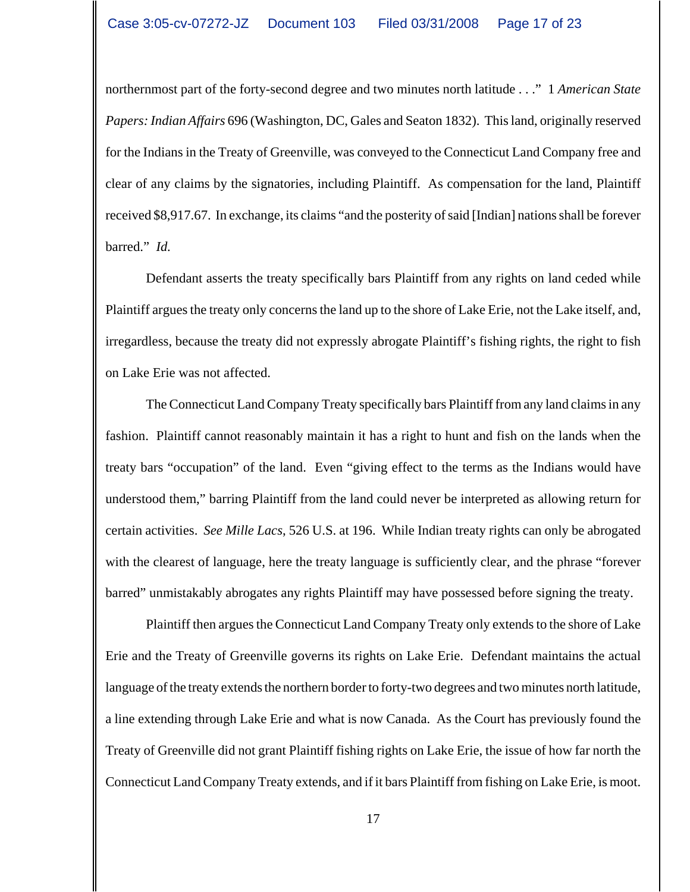northernmost part of the forty-second degree and two minutes north latitude . . ." 1 *American State Papers: Indian Affairs* 696 (Washington, DC, Gales and Seaton 1832). This land, originally reserved for the Indians in the Treaty of Greenville, was conveyed to the Connecticut Land Company free and clear of any claims by the signatories, including Plaintiff. As compensation for the land, Plaintiff received \$8,917.67. In exchange, its claims "and the posterity of said [Indian] nations shall be forever barred." *Id.*

Defendant asserts the treaty specifically bars Plaintiff from any rights on land ceded while Plaintiff argues the treaty only concerns the land up to the shore of Lake Erie, not the Lake itself, and, irregardless, because the treaty did not expressly abrogate Plaintiff's fishing rights, the right to fish on Lake Erie was not affected.

The Connecticut Land Company Treaty specifically bars Plaintiff from any land claims in any fashion. Plaintiff cannot reasonably maintain it has a right to hunt and fish on the lands when the treaty bars "occupation" of the land. Even "giving effect to the terms as the Indians would have understood them," barring Plaintiff from the land could never be interpreted as allowing return for certain activities. *See Mille Lacs*, 526 U.S. at 196. While Indian treaty rights can only be abrogated with the clearest of language, here the treaty language is sufficiently clear, and the phrase "forever barred" unmistakably abrogates any rights Plaintiff may have possessed before signing the treaty.

Plaintiff then argues the Connecticut Land Company Treaty only extends to the shore of Lake Erie and the Treaty of Greenville governs its rights on Lake Erie. Defendant maintains the actual language of the treaty extends the northern border to forty-two degrees and two minutes north latitude, a line extending through Lake Erie and what is now Canada. As the Court has previously found the Treaty of Greenville did not grant Plaintiff fishing rights on Lake Erie, the issue of how far north the Connecticut Land Company Treaty extends, and if it bars Plaintiff from fishing on Lake Erie, is moot.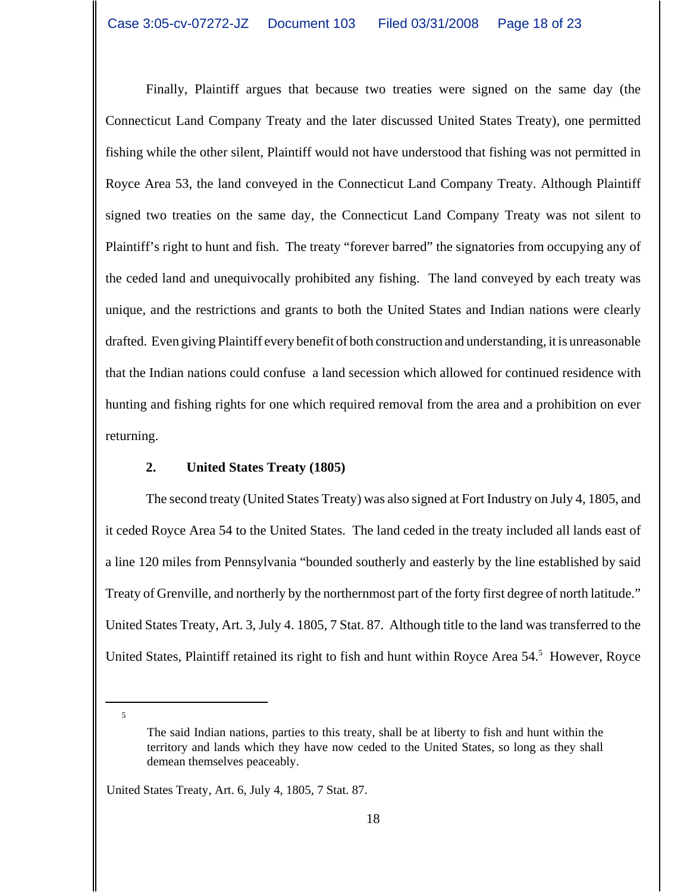Finally, Plaintiff argues that because two treaties were signed on the same day (the Connecticut Land Company Treaty and the later discussed United States Treaty), one permitted fishing while the other silent, Plaintiff would not have understood that fishing was not permitted in Royce Area 53, the land conveyed in the Connecticut Land Company Treaty. Although Plaintiff signed two treaties on the same day, the Connecticut Land Company Treaty was not silent to Plaintiff's right to hunt and fish. The treaty "forever barred" the signatories from occupying any of the ceded land and unequivocally prohibited any fishing. The land conveyed by each treaty was unique, and the restrictions and grants to both the United States and Indian nations were clearly drafted. Even giving Plaintiff every benefit of both construction and understanding, it is unreasonable that the Indian nations could confuse a land secession which allowed for continued residence with hunting and fishing rights for one which required removal from the area and a prohibition on ever returning.

## **2. United States Treaty (1805)**

The second treaty (United States Treaty) was also signed at Fort Industry on July 4, 1805, and it ceded Royce Area 54 to the United States. The land ceded in the treaty included all lands east of a line 120 miles from Pennsylvania "bounded southerly and easterly by the line established by said Treaty of Grenville, and northerly by the northernmost part of the forty first degree of north latitude." United States Treaty, Art. 3, July 4. 1805, 7 Stat. 87. Although title to the land was transferred to the United States, Plaintiff retained its right to fish and hunt within Royce Area 54.<sup>5</sup> However, Royce

The said Indian nations, parties to this treaty, shall be at liberty to fish and hunt within the territory and lands which they have now ceded to the United States, so long as they shall demean themselves peaceably.

United States Treaty, Art. 6, July 4, 1805, 7 Stat. 87.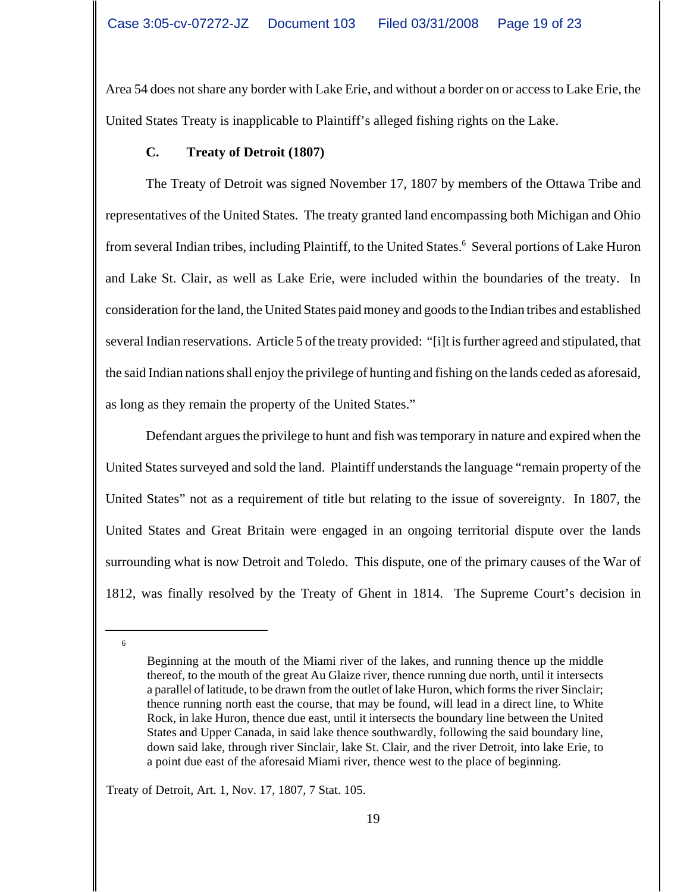Area 54 does not share any border with Lake Erie, and without a border on or access to Lake Erie, the United States Treaty is inapplicable to Plaintiff's alleged fishing rights on the Lake.

# **C. Treaty of Detroit (1807)**

The Treaty of Detroit was signed November 17, 1807 by members of the Ottawa Tribe and representatives of the United States. The treaty granted land encompassing both Michigan and Ohio from several Indian tribes, including Plaintiff, to the United States.<sup>6</sup> Several portions of Lake Huron and Lake St. Clair, as well as Lake Erie, were included within the boundaries of the treaty. In consideration for the land, the United States paid money and goods to the Indian tribes and established several Indian reservations. Article 5 of the treaty provided: "[i]t is further agreed and stipulated, that the said Indian nations shall enjoy the privilege of hunting and fishing on the lands ceded as aforesaid, as long as they remain the property of the United States."

Defendant argues the privilege to hunt and fish was temporary in nature and expired when the United States surveyed and sold the land. Plaintiff understands the language "remain property of the United States" not as a requirement of title but relating to the issue of sovereignty. In 1807, the United States and Great Britain were engaged in an ongoing territorial dispute over the lands surrounding what is now Detroit and Toledo. This dispute, one of the primary causes of the War of 1812, was finally resolved by the Treaty of Ghent in 1814. The Supreme Court's decision in

6

Treaty of Detroit, Art. 1, Nov. 17, 1807, 7 Stat. 105.

Beginning at the mouth of the Miami river of the lakes, and running thence up the middle thereof, to the mouth of the great Au Glaize river, thence running due north, until it intersects a parallel of latitude, to be drawn from the outlet of lake Huron, which forms the river Sinclair; thence running north east the course, that may be found, will lead in a direct line, to White Rock, in lake Huron, thence due east, until it intersects the boundary line between the United States and Upper Canada, in said lake thence southwardly, following the said boundary line, down said lake, through river Sinclair, lake St. Clair, and the river Detroit, into lake Erie, to a point due east of the aforesaid Miami river, thence west to the place of beginning.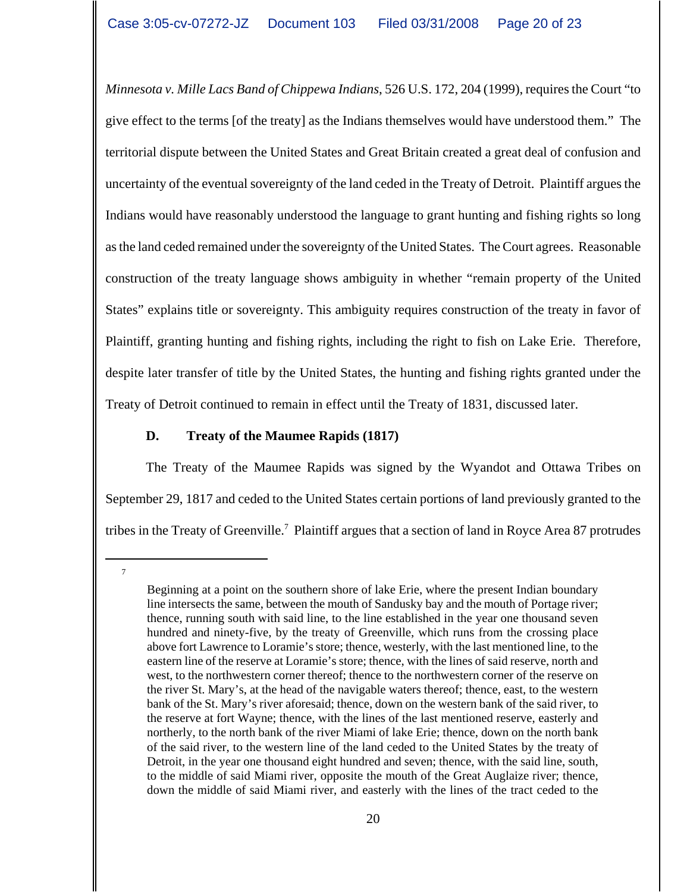*Minnesota v. Mille Lacs Band of Chippewa Indians*, 526 U.S. 172, 204 (1999), requires the Court "to give effect to the terms [of the treaty] as the Indians themselves would have understood them." The territorial dispute between the United States and Great Britain created a great deal of confusion and uncertainty of the eventual sovereignty of the land ceded in the Treaty of Detroit. Plaintiff argues the Indians would have reasonably understood the language to grant hunting and fishing rights so long as the land ceded remained under the sovereignty of the United States. The Court agrees. Reasonable construction of the treaty language shows ambiguity in whether "remain property of the United States" explains title or sovereignty. This ambiguity requires construction of the treaty in favor of Plaintiff, granting hunting and fishing rights, including the right to fish on Lake Erie. Therefore, despite later transfer of title by the United States, the hunting and fishing rights granted under the Treaty of Detroit continued to remain in effect until the Treaty of 1831, discussed later.

## **D. Treaty of the Maumee Rapids (1817)**

The Treaty of the Maumee Rapids was signed by the Wyandot and Ottawa Tribes on September 29, 1817 and ceded to the United States certain portions of land previously granted to the tribes in the Treaty of Greenville.<sup>7</sup> Plaintiff argues that a section of land in Royce Area 87 protrudes

Beginning at a point on the southern shore of lake Erie, where the present Indian boundary line intersects the same, between the mouth of Sandusky bay and the mouth of Portage river; thence, running south with said line, to the line established in the year one thousand seven hundred and ninety-five, by the treaty of Greenville, which runs from the crossing place above fort Lawrence to Loramie's store; thence, westerly, with the last mentioned line, to the eastern line of the reserve at Loramie's store; thence, with the lines of said reserve, north and west, to the northwestern corner thereof; thence to the northwestern corner of the reserve on the river St. Mary's, at the head of the navigable waters thereof; thence, east, to the western bank of the St. Mary's river aforesaid; thence, down on the western bank of the said river, to the reserve at fort Wayne; thence, with the lines of the last mentioned reserve, easterly and northerly, to the north bank of the river Miami of lake Erie; thence, down on the north bank of the said river, to the western line of the land ceded to the United States by the treaty of Detroit, in the year one thousand eight hundred and seven; thence, with the said line, south, to the middle of said Miami river, opposite the mouth of the Great Auglaize river; thence, down the middle of said Miami river, and easterly with the lines of the tract ceded to the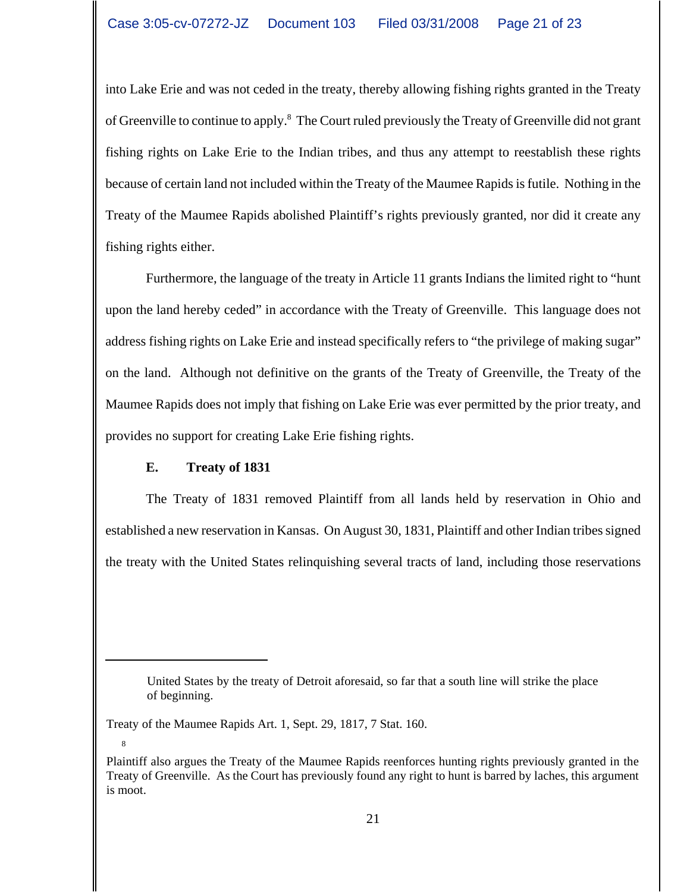into Lake Erie and was not ceded in the treaty, thereby allowing fishing rights granted in the Treaty of Greenville to continue to apply.<sup>8</sup> The Court ruled previously the Treaty of Greenville did not grant fishing rights on Lake Erie to the Indian tribes, and thus any attempt to reestablish these rights because of certain land not included within the Treaty of the Maumee Rapids is futile. Nothing in the Treaty of the Maumee Rapids abolished Plaintiff's rights previously granted, nor did it create any fishing rights either.

Furthermore, the language of the treaty in Article 11 grants Indians the limited right to "hunt upon the land hereby ceded" in accordance with the Treaty of Greenville. This language does not address fishing rights on Lake Erie and instead specifically refers to "the privilege of making sugar" on the land. Although not definitive on the grants of the Treaty of Greenville, the Treaty of the Maumee Rapids does not imply that fishing on Lake Erie was ever permitted by the prior treaty, and provides no support for creating Lake Erie fishing rights.

# **E. Treaty of 1831**

The Treaty of 1831 removed Plaintiff from all lands held by reservation in Ohio and established a new reservation in Kansas. On August 30, 1831, Plaintiff and other Indian tribes signed the treaty with the United States relinquishing several tracts of land, including those reservations

United States by the treaty of Detroit aforesaid, so far that a south line will strike the place of beginning.

Treaty of the Maumee Rapids Art. 1, Sept. 29, 1817, 7 Stat. 160.

Plaintiff also argues the Treaty of the Maumee Rapids reenforces hunting rights previously granted in the Treaty of Greenville. As the Court has previously found any right to hunt is barred by laches, this argument is moot.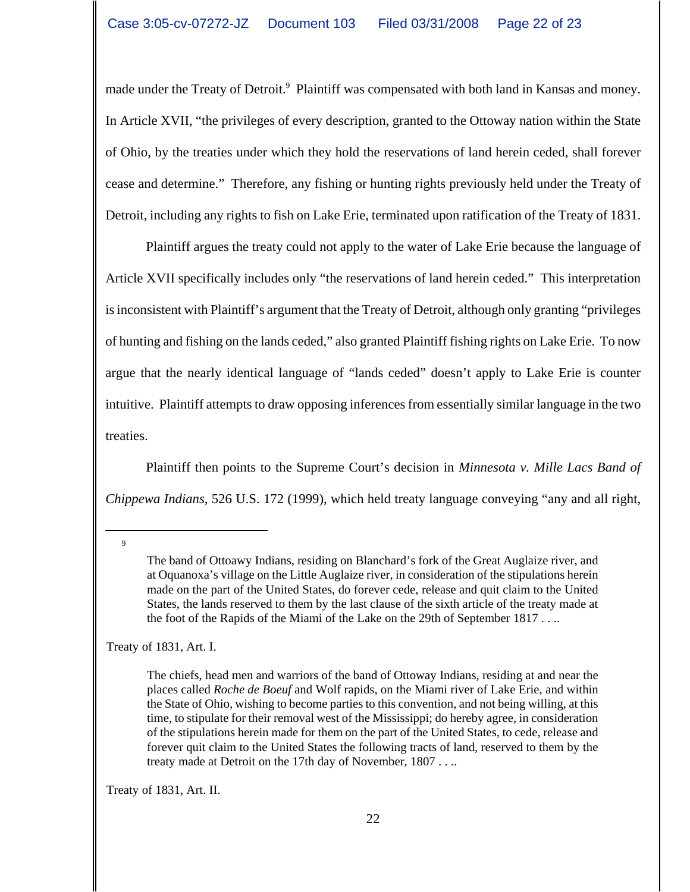made under the Treaty of Detroit.<sup>9</sup> Plaintiff was compensated with both land in Kansas and money. In Article XVII, "the privileges of every description, granted to the Ottoway nation within the State of Ohio, by the treaties under which they hold the reservations of land herein ceded, shall forever cease and determine." Therefore, any fishing or hunting rights previously held under the Treaty of Detroit, including any rights to fish on Lake Erie, terminated upon ratification of the Treaty of 1831.

Plaintiff argues the treaty could not apply to the water of Lake Erie because the language of Article XVII specifically includes only "the reservations of land herein ceded." This interpretation is inconsistent with Plaintiff's argument that the Treaty of Detroit, although only granting "privileges of hunting and fishing on the lands ceded," also granted Plaintiff fishing rights on Lake Erie. To now argue that the nearly identical language of "lands ceded" doesn't apply to Lake Erie is counter intuitive. Plaintiff attempts to draw opposing inferences from essentially similar language in the two treaties.

Plaintiff then points to the Supreme Court's decision in *Minnesota v. Mille Lacs Band of Chippewa Indians*, 526 U.S. 172 (1999), which held treaty language conveying "any and all right,

9

Treaty of 1831, Art. I.

The chiefs, head men and warriors of the band of Ottoway Indians, residing at and near the places called *Roche de Boeuf* and Wolf rapids, on the Miami river of Lake Erie, and within the State of Ohio, wishing to become parties to this convention, and not being willing, at this time, to stipulate for their removal west of the Mississippi; do hereby agree, in consideration of the stipulations herein made for them on the part of the United States, to cede, release and forever quit claim to the United States the following tracts of land, reserved to them by the treaty made at Detroit on the 17th day of November, 1807 . . ..

Treaty of 1831, Art. II.

The band of Ottoawy Indians, residing on Blanchard's fork of the Great Auglaize river, and at Oquanoxa's village on the Little Auglaize river, in consideration of the stipulations herein made on the part of the United States, do forever cede, release and quit claim to the United States, the lands reserved to them by the last clause of the sixth article of the treaty made at the foot of the Rapids of the Miami of the Lake on the 29th of September 1817 . . ..